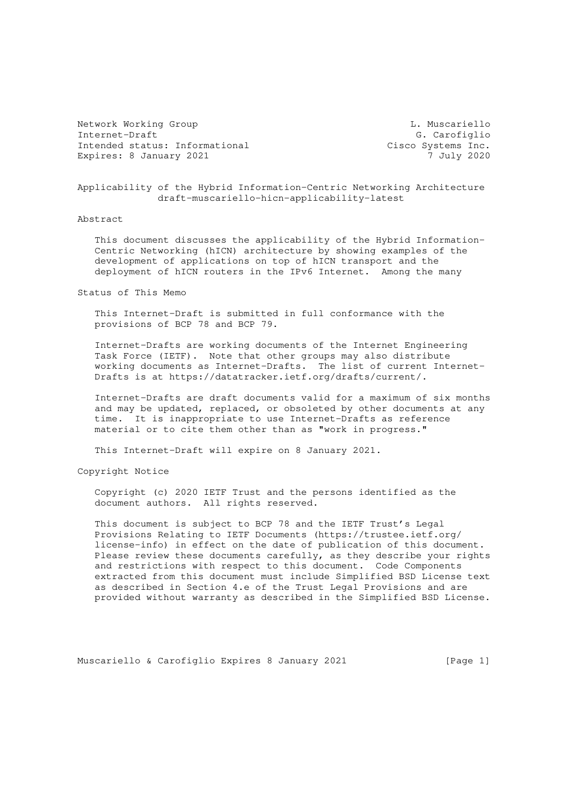Network Working Group Communication Communication Communication Communication Communication Communication Communication Communication Communication Communication Communication Communication Communication Communication Comm Internet-Draft G. Carofiglio Intended status: Informational Cisco Systems Inc. Expires: 8 January 2021 7 July 2020

Applicability of the Hybrid Information-Centric Networking Architecture draft-muscariello-hicn-applicability-latest

Abstract

 This document discusses the applicability of the Hybrid Information- Centric Networking (hICN) architecture by showing examples of the development of applications on top of hICN transport and the deployment of hICN routers in the IPv6 Internet. Among the many

Status of This Memo

 This Internet-Draft is submitted in full conformance with the provisions of BCP 78 and BCP 79.

 Internet-Drafts are working documents of the Internet Engineering Task Force (IETF). Note that other groups may also distribute working documents as Internet-Drafts. The list of current Internet- Drafts is at https://datatracker.ietf.org/drafts/current/.

 Internet-Drafts are draft documents valid for a maximum of six months and may be updated, replaced, or obsoleted by other documents at any time. It is inappropriate to use Internet-Drafts as reference material or to cite them other than as "work in progress."

This Internet-Draft will expire on 8 January 2021.

Copyright Notice

 Copyright (c) 2020 IETF Trust and the persons identified as the document authors. All rights reserved.

 This document is subject to BCP 78 and the IETF Trust's Legal Provisions Relating to IETF Documents (https://trustee.ietf.org/ license-info) in effect on the date of publication of this document. Please review these documents carefully, as they describe your rights and restrictions with respect to this document. Code Components extracted from this document must include Simplified BSD License text as described in Section 4.e of the Trust Legal Provisions and are provided without warranty as described in the Simplified BSD License.

Muscariello & Carofiglio Expires 8 January 2021 [Page 1]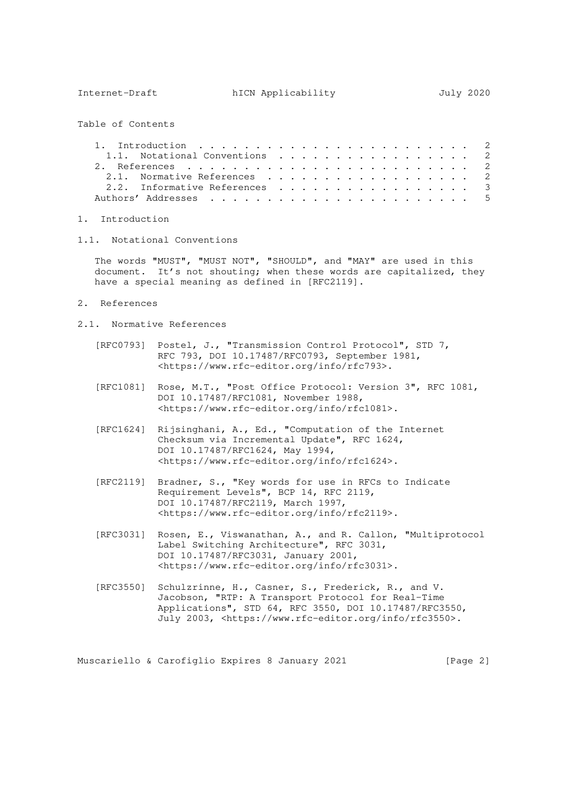Internet-Draft hICN Applicability July 2020

Table of Contents

| 1.1. Notational Conventions $\cdots$ , 2 |  |  |  |  |  |  |  |  |  |
|------------------------------------------|--|--|--|--|--|--|--|--|--|
|                                          |  |  |  |  |  |  |  |  |  |
| 2.1. Normative References 2              |  |  |  |  |  |  |  |  |  |
| 2.2. Informative References 3            |  |  |  |  |  |  |  |  |  |
|                                          |  |  |  |  |  |  |  |  |  |

- 1. Introduction
- 1.1. Notational Conventions

 The words "MUST", "MUST NOT", "SHOULD", and "MAY" are used in this document. It's not shouting; when these words are capitalized, they have a special meaning as defined in [RFC2119].

- 2. References
- 2.1. Normative References
	- [RFC0793] Postel, J., "Transmission Control Protocol", STD 7, RFC 793, DOI 10.17487/RFC0793, September 1981, <https://www.rfc-editor.org/info/rfc793>.
	- [RFC1081] Rose, M.T., "Post Office Protocol: Version 3", RFC 1081, DOI 10.17487/RFC1081, November 1988, <https://www.rfc-editor.org/info/rfc1081>.
	- [RFC1624] Rijsinghani, A., Ed., "Computation of the Internet Checksum via Incremental Update", RFC 1624, DOI 10.17487/RFC1624, May 1994, <https://www.rfc-editor.org/info/rfc1624>.
	- [RFC2119] Bradner, S., "Key words for use in RFCs to Indicate Requirement Levels", BCP 14, RFC 2119, DOI 10.17487/RFC2119, March 1997, <https://www.rfc-editor.org/info/rfc2119>.
	- [RFC3031] Rosen, E., Viswanathan, A., and R. Callon, "Multiprotocol Label Switching Architecture", RFC 3031, DOI 10.17487/RFC3031, January 2001, <https://www.rfc-editor.org/info/rfc3031>.
	- [RFC3550] Schulzrinne, H., Casner, S., Frederick, R., and V. Jacobson, "RTP: A Transport Protocol for Real-Time Applications", STD 64, RFC 3550, DOI 10.17487/RFC3550, July 2003, <https://www.rfc-editor.org/info/rfc3550>.

Muscariello & Carofiglio Expires 8 January 2021 [Page 2]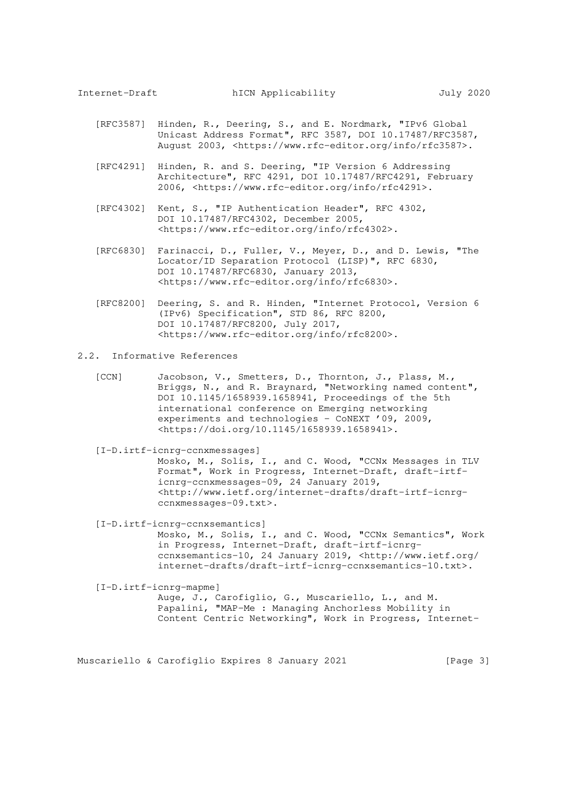- [RFC3587] Hinden, R., Deering, S., and E. Nordmark, "IPv6 Global Unicast Address Format", RFC 3587, DOI 10.17487/RFC3587, August 2003, <https://www.rfc-editor.org/info/rfc3587>.
- [RFC4291] Hinden, R. and S. Deering, "IP Version 6 Addressing Architecture", RFC 4291, DOI 10.17487/RFC4291, February 2006, <https://www.rfc-editor.org/info/rfc4291>.
- [RFC4302] Kent, S., "IP Authentication Header", RFC 4302, DOI 10.17487/RFC4302, December 2005, <https://www.rfc-editor.org/info/rfc4302>.
- [RFC6830] Farinacci, D., Fuller, V., Meyer, D., and D. Lewis, "The Locator/ID Separation Protocol (LISP)", RFC 6830, DOI 10.17487/RFC6830, January 2013, <https://www.rfc-editor.org/info/rfc6830>.
- [RFC8200] Deering, S. and R. Hinden, "Internet Protocol, Version 6 (IPv6) Specification", STD 86, RFC 8200, DOI 10.17487/RFC8200, July 2017, <https://www.rfc-editor.org/info/rfc8200>.
- 2.2. Informative References
	- [CCN] Jacobson, V., Smetters, D., Thornton, J., Plass, M., Briggs, N., and R. Braynard, "Networking named content", DOI 10.1145/1658939.1658941, Proceedings of the 5th international conference on Emerging networking experiments and technologies - CoNEXT '09, 2009, <https://doi.org/10.1145/1658939.1658941>.
	- [I-D.irtf-icnrg-ccnxmessages]

 Mosko, M., Solis, I., and C. Wood, "CCNx Messages in TLV Format", Work in Progress, Internet-Draft, draft-irtf icnrg-ccnxmessages-09, 24 January 2019, <http://www.ietf.org/internet-drafts/draft-irtf-icnrg ccnxmessages-09.txt>.

 [I-D.irtf-icnrg-ccnxsemantics] Mosko, M., Solis, I., and C. Wood, "CCNx Semantics", Work in Progress, Internet-Draft, draft-irtf-icnrg ccnxsemantics-10, 24 January 2019, <http://www.ietf.org/ internet-drafts/draft-irtf-icnrg-ccnxsemantics-10.txt>.

 [I-D.irtf-icnrg-mapme] Auge, J., Carofiglio, G., Muscariello, L., and M. Papalini, "MAP-Me : Managing Anchorless Mobility in Content Centric Networking", Work in Progress, Internet-

Muscariello & Carofiglio Expires 8 January 2021 [Page 3]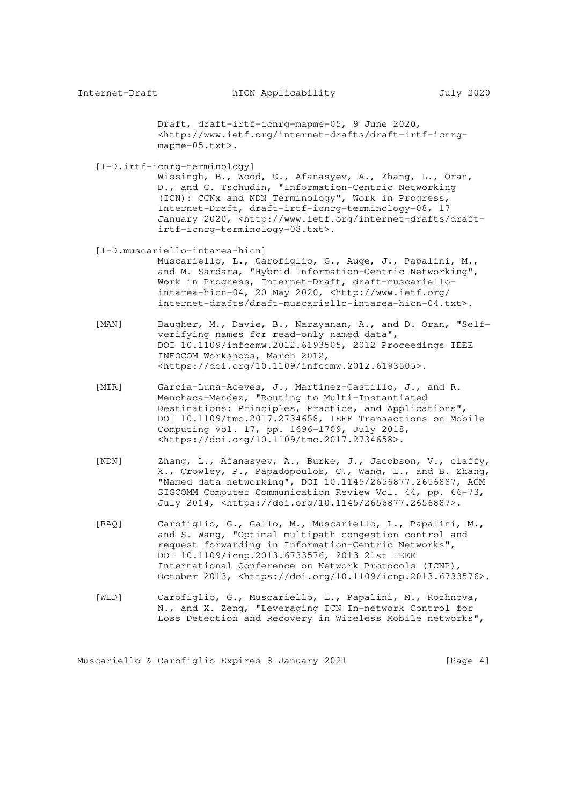Draft, draft-irtf-icnrg-mapme-05, 9 June 2020, <http://www.ietf.org/internet-drafts/draft-irtf-icnrg mapme-05.txt>.

[I-D.irtf-icnrg-terminology]

 Wissingh, B., Wood, C., Afanasyev, A., Zhang, L., Oran, D., and C. Tschudin, "Information-Centric Networking (ICN): CCNx and NDN Terminology", Work in Progress, Internet-Draft, draft-irtf-icnrg-terminology-08, 17 January 2020, <http://www.ietf.org/internet-drafts/draft irtf-icnrg-terminology-08.txt>.

## [I-D.muscariello-intarea-hicn]

 Muscariello, L., Carofiglio, G., Auge, J., Papalini, M., and M. Sardara, "Hybrid Information-Centric Networking", Work in Progress, Internet-Draft, draft-muscariello intarea-hicn-04, 20 May 2020, <http://www.ietf.org/ internet-drafts/draft-muscariello-intarea-hicn-04.txt>.

- [MAN] Baugher, M., Davie, B., Narayanan, A., and D. Oran, "Self verifying names for read-only named data", DOI 10.1109/infcomw.2012.6193505, 2012 Proceedings IEEE INFOCOM Workshops, March 2012, <https://doi.org/10.1109/infcomw.2012.6193505>.
- [MIR] Garcia-Luna-Aceves, J., Martinez-Castillo, J., and R. Menchaca-Mendez, "Routing to Multi-Instantiated Destinations: Principles, Practice, and Applications", DOI 10.1109/tmc.2017.2734658, IEEE Transactions on Mobile Computing Vol. 17, pp. 1696-1709, July 2018, <https://doi.org/10.1109/tmc.2017.2734658>.
	- [NDN] Zhang, L., Afanasyev, A., Burke, J., Jacobson, V., claffy, k., Crowley, P., Papadopoulos, C., Wang, L., and B. Zhang, "Named data networking", DOI 10.1145/2656877.2656887, ACM SIGCOMM Computer Communication Review Vol. 44, pp. 66-73, July 2014, <https://doi.org/10.1145/2656877.2656887>.
	- [RAQ] Carofiglio, G., Gallo, M., Muscariello, L., Papalini, M., and S. Wang, "Optimal multipath congestion control and request forwarding in Information-Centric Networks", DOI 10.1109/icnp.2013.6733576, 2013 21st IEEE International Conference on Network Protocols (ICNP), October 2013, <https://doi.org/10.1109/icnp.2013.6733576>.
	- [WLD] Carofiglio, G., Muscariello, L., Papalini, M., Rozhnova, N., and X. Zeng, "Leveraging ICN In-network Control for Loss Detection and Recovery in Wireless Mobile networks",

Muscariello & Carofiglio Expires 8 January 2021 [Page 4]